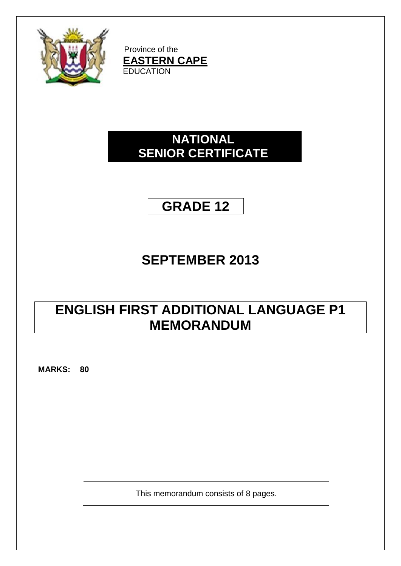

Province of the **EASTERN CAPE EDUCATION** 

## **NATIONAL SENIOR CERTIFICATE**

## **GRADE 12**

# **SEPTEMBER 2013**

## **ENGLISH FIRST ADDITIONAL LANGUAGE P1 MEMORANDUM**

**MARKS: 80**

This memorandum consists of 8 pages.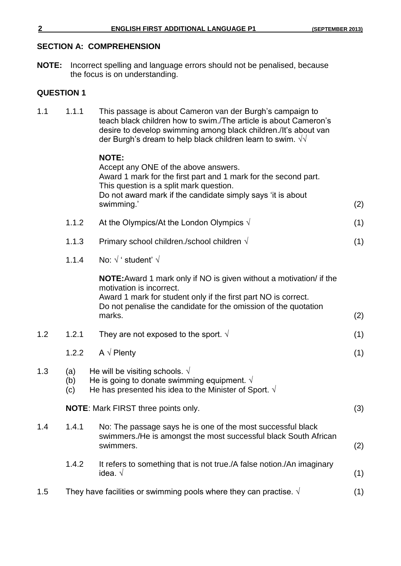#### **SECTION A: COMPREHENSION**

**NOTE:** Incorrect spelling and language errors should not be penalised, because the focus is on understanding.

### **QUESTION 1**

| 1.1 | 1.1.1             | This passage is about Cameron van der Burgh's campaign to<br>teach black children how to swim. The article is about Cameron's<br>desire to develop swimming among black children./It's about van<br>der Burgh's dream to help black children learn to swim. $\sqrt{v}$ |     |
|-----|-------------------|------------------------------------------------------------------------------------------------------------------------------------------------------------------------------------------------------------------------------------------------------------------------|-----|
|     |                   | <b>NOTE:</b><br>Accept any ONE of the above answers.<br>Award 1 mark for the first part and 1 mark for the second part.<br>This question is a split mark question.<br>Do not award mark if the candidate simply says 'it is about<br>swimming.'                        | (2) |
|     | 1.1.2             | At the Olympics/At the London Olympics $\sqrt{ }$                                                                                                                                                                                                                      | (1) |
|     | 1.1.3             | Primary school children./school children $\sqrt{ }$                                                                                                                                                                                                                    | (1) |
|     | 1.1.4             | No: $\sqrt{ }$ ' student' $\sqrt{ }$                                                                                                                                                                                                                                   |     |
|     |                   | <b>NOTE:</b> Award 1 mark only if NO is given without a motivation/ if the<br>motivation is incorrect.<br>Award 1 mark for student only if the first part NO is correct.<br>Do not penalise the candidate for the omission of the quotation<br>marks.                  | (2) |
| 1.2 | 1.2.1             | They are not exposed to the sport. $\sqrt{ }$                                                                                                                                                                                                                          | (1) |
|     | 1.2.2             | A $\sqrt{}$ Plenty                                                                                                                                                                                                                                                     | (1) |
| 1.3 | (a)<br>(b)<br>(c) | He will be visiting schools. $\sqrt{}$<br>He is going to donate swimming equipment. $\sqrt{ }$<br>He has presented his idea to the Minister of Sport. $\sqrt{ }$                                                                                                       |     |
|     |                   | NOTE: Mark FIRST three points only.                                                                                                                                                                                                                                    | (3) |
| 1.4 | 1.4.1             | No: The passage says he is one of the most successful black<br>swimmers./He is amongst the most successful black South African<br>swimmers.                                                                                                                            | (2) |
|     | 1.4.2             | It refers to something that is not true./A false notion./An imaginary<br>idea. $\sqrt{ }$                                                                                                                                                                              | (1) |
| 1.5 |                   | They have facilities or swimming pools where they can practise. $\sqrt{ }$                                                                                                                                                                                             | (1) |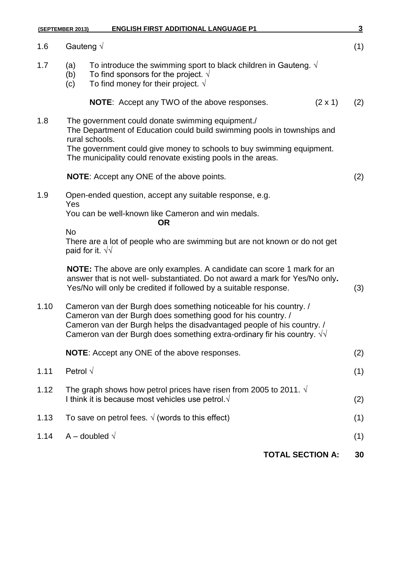|                                                                                                                             | <b>ENGLISH FIRST ADDITIONAL LANGUAGE P1</b>                                                                                                                             | $\overline{3}$                                                                                                                                                                                                                                                                                                                                                                                                                                                                                                                                                                                                                                                                                                                                                                                                                                                                                                                                                                                                                                                                                                                                                              |
|-----------------------------------------------------------------------------------------------------------------------------|-------------------------------------------------------------------------------------------------------------------------------------------------------------------------|-----------------------------------------------------------------------------------------------------------------------------------------------------------------------------------------------------------------------------------------------------------------------------------------------------------------------------------------------------------------------------------------------------------------------------------------------------------------------------------------------------------------------------------------------------------------------------------------------------------------------------------------------------------------------------------------------------------------------------------------------------------------------------------------------------------------------------------------------------------------------------------------------------------------------------------------------------------------------------------------------------------------------------------------------------------------------------------------------------------------------------------------------------------------------------|
|                                                                                                                             |                                                                                                                                                                         | (1)                                                                                                                                                                                                                                                                                                                                                                                                                                                                                                                                                                                                                                                                                                                                                                                                                                                                                                                                                                                                                                                                                                                                                                         |
| (a)<br>(b)<br>(c)                                                                                                           | To introduce the swimming sport to black children in Gauteng. $\sqrt{ }$<br>To find sponsors for the project. $\sqrt{ }$<br>To find money for their project. $\sqrt{ }$ |                                                                                                                                                                                                                                                                                                                                                                                                                                                                                                                                                                                                                                                                                                                                                                                                                                                                                                                                                                                                                                                                                                                                                                             |
|                                                                                                                             | <b>NOTE:</b> Accept any TWO of the above responses.<br>$(2 \times 1)$                                                                                                   | (2)                                                                                                                                                                                                                                                                                                                                                                                                                                                                                                                                                                                                                                                                                                                                                                                                                                                                                                                                                                                                                                                                                                                                                                         |
| The government could donate swimming equipment./<br>The Department of Education could build swimming pools in townships and |                                                                                                                                                                         |                                                                                                                                                                                                                                                                                                                                                                                                                                                                                                                                                                                                                                                                                                                                                                                                                                                                                                                                                                                                                                                                                                                                                                             |
|                                                                                                                             |                                                                                                                                                                         |                                                                                                                                                                                                                                                                                                                                                                                                                                                                                                                                                                                                                                                                                                                                                                                                                                                                                                                                                                                                                                                                                                                                                                             |
| <b>NOTE:</b> Accept any ONE of the above points.                                                                            |                                                                                                                                                                         | (2)                                                                                                                                                                                                                                                                                                                                                                                                                                                                                                                                                                                                                                                                                                                                                                                                                                                                                                                                                                                                                                                                                                                                                                         |
|                                                                                                                             |                                                                                                                                                                         |                                                                                                                                                                                                                                                                                                                                                                                                                                                                                                                                                                                                                                                                                                                                                                                                                                                                                                                                                                                                                                                                                                                                                                             |
| You can be well-known like Cameron and win medals.                                                                          |                                                                                                                                                                         |                                                                                                                                                                                                                                                                                                                                                                                                                                                                                                                                                                                                                                                                                                                                                                                                                                                                                                                                                                                                                                                                                                                                                                             |
| <b>No</b>                                                                                                                   |                                                                                                                                                                         |                                                                                                                                                                                                                                                                                                                                                                                                                                                                                                                                                                                                                                                                                                                                                                                                                                                                                                                                                                                                                                                                                                                                                                             |
|                                                                                                                             |                                                                                                                                                                         | (3)                                                                                                                                                                                                                                                                                                                                                                                                                                                                                                                                                                                                                                                                                                                                                                                                                                                                                                                                                                                                                                                                                                                                                                         |
|                                                                                                                             |                                                                                                                                                                         |                                                                                                                                                                                                                                                                                                                                                                                                                                                                                                                                                                                                                                                                                                                                                                                                                                                                                                                                                                                                                                                                                                                                                                             |
| NOTE: Accept any ONE of the above responses.                                                                                |                                                                                                                                                                         |                                                                                                                                                                                                                                                                                                                                                                                                                                                                                                                                                                                                                                                                                                                                                                                                                                                                                                                                                                                                                                                                                                                                                                             |
|                                                                                                                             |                                                                                                                                                                         | (1)                                                                                                                                                                                                                                                                                                                                                                                                                                                                                                                                                                                                                                                                                                                                                                                                                                                                                                                                                                                                                                                                                                                                                                         |
|                                                                                                                             |                                                                                                                                                                         | (2)                                                                                                                                                                                                                                                                                                                                                                                                                                                                                                                                                                                                                                                                                                                                                                                                                                                                                                                                                                                                                                                                                                                                                                         |
|                                                                                                                             |                                                                                                                                                                         | (1)                                                                                                                                                                                                                                                                                                                                                                                                                                                                                                                                                                                                                                                                                                                                                                                                                                                                                                                                                                                                                                                                                                                                                                         |
|                                                                                                                             |                                                                                                                                                                         | (1)                                                                                                                                                                                                                                                                                                                                                                                                                                                                                                                                                                                                                                                                                                                                                                                                                                                                                                                                                                                                                                                                                                                                                                         |
|                                                                                                                             | <b>TOTAL SECTION A:</b>                                                                                                                                                 | 30                                                                                                                                                                                                                                                                                                                                                                                                                                                                                                                                                                                                                                                                                                                                                                                                                                                                                                                                                                                                                                                                                                                                                                          |
|                                                                                                                             | Yes                                                                                                                                                                     | (SEPTEMBER 2013)<br>Gauteng $\sqrt$<br>rural schools.<br>The government could give money to schools to buy swimming equipment.<br>The municipality could renovate existing pools in the areas.<br>Open-ended question, accept any suitable response, e.g.<br><b>OR</b><br>There are a lot of people who are swimming but are not known or do not get<br>paid for it. $\sqrt{v}$<br><b>NOTE:</b> The above are only examples. A candidate can score 1 mark for an<br>answer that is not well- substantiated. Do not award a mark for Yes/No only.<br>Yes/No will only be credited if followed by a suitable response.<br>Cameron van der Burgh does something noticeable for his country. /<br>Cameron van der Burgh does something good for his country. /<br>Cameron van der Burgh helps the disadvantaged people of his country. /<br>Cameron van der Burgh does something extra-ordinary fir his country. $\sqrt{v}$<br>Petrol $\sqrt{}$<br>The graph shows how petrol prices have risen from 2005 to 2011. $\sqrt{ }$<br>I think it is because most vehicles use petrol. $\sqrt{ }$<br>To save on petrol fees. $\sqrt{(words to this effect)}$<br>A – doubled $\sqrt{}$ |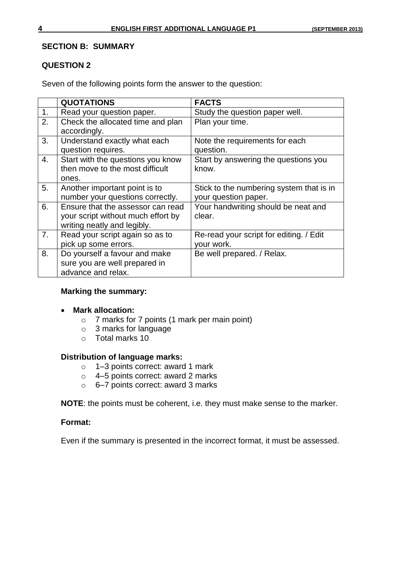#### **SECTION B: SUMMARY**

#### **QUESTION 2**

Seven of the following points form the answer to the question:

|    | <b>QUOTATIONS</b>                  | <b>FACTS</b>                             |
|----|------------------------------------|------------------------------------------|
| 1. | Read your question paper.          | Study the question paper well.           |
| 2. | Check the allocated time and plan  | Plan your time.                          |
|    | accordingly.                       |                                          |
| 3. | Understand exactly what each       | Note the requirements for each           |
|    | question requires.                 | question.                                |
| 4. | Start with the questions you know  | Start by answering the questions you     |
|    | then move to the most difficult    | know.                                    |
|    | ones.                              |                                          |
| 5. | Another important point is to      | Stick to the numbering system that is in |
|    | number your questions correctly.   | your question paper.                     |
| 6. | Ensure that the assessor can read  | Your handwriting should be neat and      |
|    | your script without much effort by | clear.                                   |
|    | writing neatly and legibly.        |                                          |
| 7. | Read your script again so as to    | Re-read your script for editing. / Edit  |
|    | pick up some errors.               | your work.                               |
| 8. | Do yourself a favour and make      | Be well prepared. / Relax.               |
|    | sure you are well prepared in      |                                          |
|    | advance and relax.                 |                                          |

#### **Marking the summary:**

#### **Mark allocation:**

- o 7 marks for 7 points (1 mark per main point)
- o 3 marks for language
- o Total marks 10

#### **Distribution of language marks:**

- o 1–3 points correct: award 1 mark
- o 4–5 points correct: award 2 marks
- o 6–7 points correct: award 3 marks

**NOTE**: the points must be coherent, i.e. they must make sense to the marker.

#### **Format:**

Even if the summary is presented in the incorrect format, it must be assessed.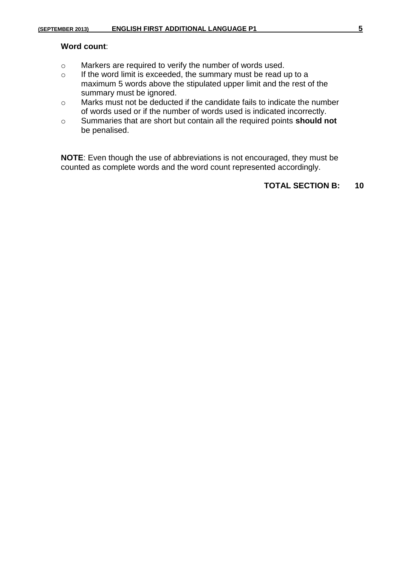- o Markers are required to verify the number of words used.
- o If the word limit is exceeded, the summary must be read up to a maximum 5 words above the stipulated upper limit and the rest of the summary must be ignored.
- o Marks must not be deducted if the candidate fails to indicate the number of words used or if the number of words used is indicated incorrectly.
- o Summaries that are short but contain all the required points **should not** be penalised.

**NOTE**: Even though the use of abbreviations is not encouraged, they must be counted as complete words and the word count represented accordingly.

#### **TOTAL SECTION B: 10**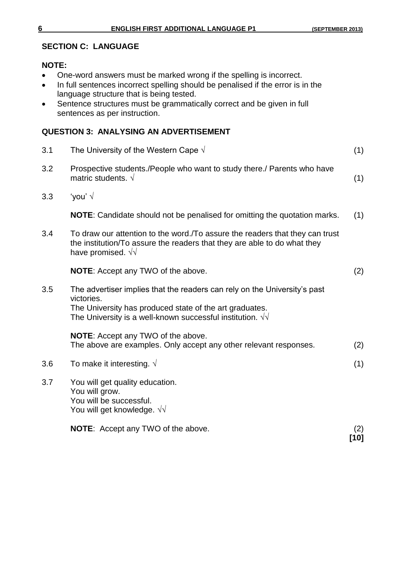#### **SECTION C: LANGUAGE**

#### **NOTE:**

- One-word answers must be marked wrong if the spelling is incorrect.
- In full sentences incorrect spelling should be penalised if the error is in the language structure that is being tested.
- Sentence structures must be grammatically correct and be given in full sentences as per instruction.

### **QUESTION 3: ANALYSING AN ADVERTISEMENT**

| 3.1 | The University of the Western Cape $\sqrt{ }$                                                                                                                                                                           | (1)         |
|-----|-------------------------------------------------------------------------------------------------------------------------------------------------------------------------------------------------------------------------|-------------|
| 3.2 | Prospective students./People who want to study there./ Parents who have<br>matric students. $\sqrt{ }$                                                                                                                  | (1)         |
| 3.3 | 'you' $\sqrt{ }$                                                                                                                                                                                                        |             |
|     | <b>NOTE:</b> Candidate should not be penalised for omitting the quotation marks.                                                                                                                                        | (1)         |
| 3.4 | To draw our attention to the word. To assure the readers that they can trust<br>the institution/To assure the readers that they are able to do what they<br>have promised. $\sqrt{v}$                                   |             |
|     | <b>NOTE:</b> Accept any TWO of the above.                                                                                                                                                                               | (2)         |
| 3.5 | The advertiser implies that the readers can rely on the University's past<br>victories.<br>The University has produced state of the art graduates.<br>The University is a well-known successful institution. $\sqrt{v}$ |             |
|     | <b>NOTE:</b> Accept any TWO of the above.<br>The above are examples. Only accept any other relevant responses.                                                                                                          | (2)         |
| 3.6 | To make it interesting. $\sqrt{ }$                                                                                                                                                                                      | (1)         |
| 3.7 | You will get quality education.<br>You will grow.<br>You will be successful.<br>You will get knowledge. $\sqrt{\sqrt{2}}$                                                                                               |             |
|     | <b>NOTE:</b> Accept any TWO of the above.                                                                                                                                                                               | (2)<br>[10] |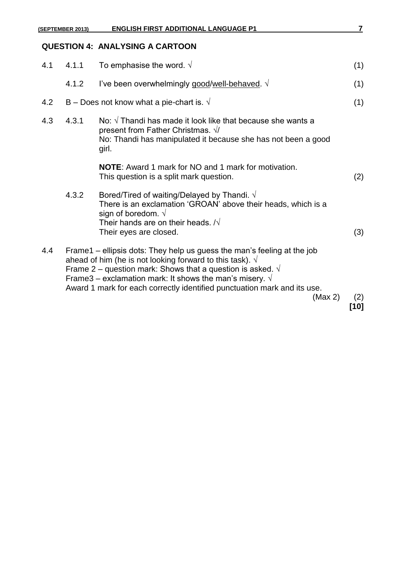|     | (SEPTEMBER 2013) | <b>ENGLISH FIRST ADDITIONAL LANGUAGE P1</b>                                                                                                                                                                                                                                                                                                                                    | $\overline{\mathbf{r}}$ |
|-----|------------------|--------------------------------------------------------------------------------------------------------------------------------------------------------------------------------------------------------------------------------------------------------------------------------------------------------------------------------------------------------------------------------|-------------------------|
|     |                  | <b>QUESTION 4: ANALYSING A CARTOON</b>                                                                                                                                                                                                                                                                                                                                         |                         |
| 4.1 | 4.1.1            | To emphasise the word. $\sqrt{ }$                                                                                                                                                                                                                                                                                                                                              | (1)                     |
|     | 4.1.2            | I've been overwhelmingly good/well-behaved. $\sqrt{ }$                                                                                                                                                                                                                                                                                                                         | (1)                     |
| 4.2 |                  | B – Does not know what a pie-chart is. $\sqrt{ }$                                                                                                                                                                                                                                                                                                                              | (1)                     |
| 4.3 | 4.3.1            | No: $\sqrt{ }$ Thandi has made it look like that because she wants a<br>present from Father Christmas. √/<br>No: Thandi has manipulated it because she has not been a good<br>girl.                                                                                                                                                                                            |                         |
|     |                  | <b>NOTE:</b> Award 1 mark for NO and 1 mark for motivation.<br>This question is a split mark question.                                                                                                                                                                                                                                                                         | (2)                     |
|     | 4.3.2            | Bored/Tired of waiting/Delayed by Thandi. $\sqrt{ }$<br>There is an exclamation 'GROAN' above their heads, which is a<br>sign of boredom. $\sqrt{ }$<br>Their hands are on their heads. $\sqrt{N}$<br>Their eyes are closed.                                                                                                                                                   | (3)                     |
| 4.4 |                  | Frame1 – ellipsis dots: They help us guess the man's feeling at the job<br>ahead of him (he is not looking forward to this task). $\sqrt{ }$<br>Frame 2 – question mark: Shows that a question is asked. $\sqrt{ }$<br>Frame3 – exclamation mark: It shows the man's misery. $\sqrt{ }$<br>Award 1 mark for each correctly identified punctuation mark and its use.<br>(Max 2) | (2)                     |
|     |                  |                                                                                                                                                                                                                                                                                                                                                                                | [10]                    |